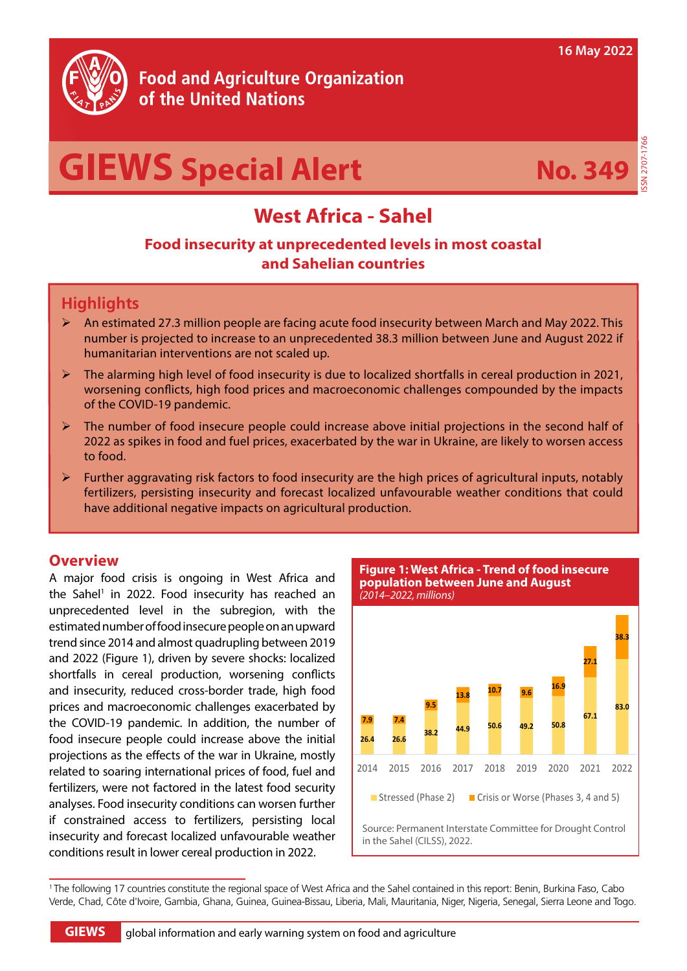

# **Food and Agriculture Organization** of the United Nations

# **GIEWS Special Alert**



ISSN 2707-1766

# **West Africa - Sahel**

## **Food insecurity at unprecedented levels in most coastal and Sahelian countries**

## **Highlights**

- $\triangleright$  An estimated 27.3 million people are facing acute food insecurity between March and May 2022. This number is projected to increase to an unprecedented 38.3 million between June and August 2022 if humanitarian interventions are not scaled up.
- The alarming high level of food insecurity is due to localized shortfalls in cereal production in 2021, worsening conflicts, high food prices and macroeconomic challenges compounded by the impacts of the COVID-19 pandemic.
- ¾ The number of food insecure people could increase above initial projections in the second half of 2022 as spikes in food and fuel prices, exacerbated by the war in Ukraine, are likely to worsen access to food.
- ¾ Further aggravating risk factors to food insecurity are the high prices of agricultural inputs, notably fertilizers, persisting insecurity and forecast localized unfavourable weather conditions that could have additional negative impacts on agricultural production.

#### **Overview**

A major food crisis is ongoing in West Africa and the Sahel<sup>1</sup> in 2022. Food insecurity has reached an unprecedented level in the subregion, with the estimated number of food insecure people on an upward trend since 2014 and almost quadrupling between 2019 and 2022 (Figure 1), driven by severe shocks: localized shortfalls in cereal production, worsening conflicts and insecurity, reduced cross-border trade, high food prices and macroeconomic challenges exacerbated by the COVID-19 pandemic. In addition, the number of food insecure people could increase above the initial projections as the effects of the war in Ukraine, mostly related to soaring international prices of food, fuel and fertilizers, were not factored in the latest food security analyses. Food insecurity conditions can worsen further if constrained access to fertilizers, persisting local insecurity and forecast localized unfavourable weather conditions result in lower cereal production in 2022.

Source: Permanent Interstate Committee for Drought Control in the Sahel (CILSS), 2022. **population between June and August**  *(2014–2022, millions)* **26.4 26.6 38.2 44.9 50.6 49.2 50.8 67.1 83.0 7.9 7.4 9.5 13.8 10.7 9.6 16.9 27.1 38.3** 2014 2015 2016 2017 2018 2019 2020 2021 2022 Stressed (Phase 2) Crisis or Worse (Phases 3, 4 and 5)

**Figure 1: West Africa - Trend of food insecure** 

Figure 1: Trend of food insecure

<sup>1</sup> The following 17 countries constitute the regional space of West Africa and the Sahel contained in this report: Benin, Burkina Faso, Cabo Verde, Chad, Côte d'Ivoire, Gambia, Ghana, Guinea, Guinea-Bissau, Liberia, Mali, Mauritania, Niger, Nigeria, Senegal, Sierra Leone and Togo.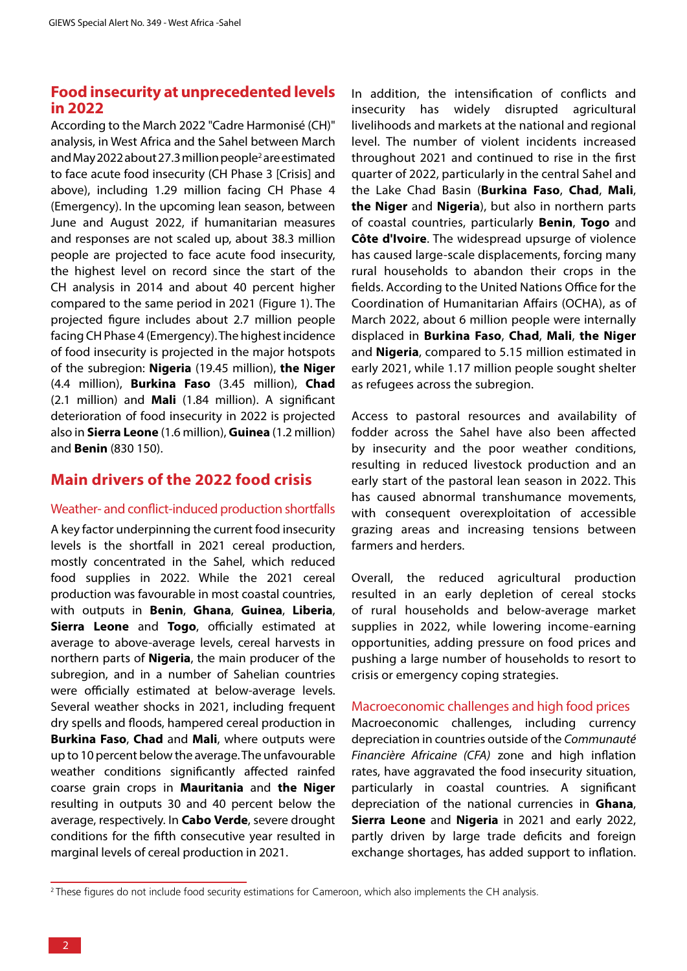#### **Food insecurity at unprecedented levels in 2022**

According to the March 2022 "Cadre Harmonisé (CH)" analysis, in West Africa and the Sahel between March and May 2022 about 27.3 million people<sup>2</sup> are estimated to face acute food insecurity (CH Phase 3 [Crisis] and above), including 1.29 million facing CH Phase 4 (Emergency). In the upcoming lean season, between June and August 2022, if humanitarian measures and responses are not scaled up, about 38.3 million people are projected to face acute food insecurity, the highest level on record since the start of the CH analysis in 2014 and about 40 percent higher compared to the same period in 2021 (Figure 1). The projected figure includes about 2.7 million people facing CH Phase 4 (Emergency). The highest incidence of food insecurity is projected in the major hotspots of the subregion: **Nigeria** (19.45 million), **the Niger** (4.4 million), **Burkina Faso** (3.45 million), **Chad** (2.1 million) and **Mali** (1.84 million). A significant deterioration of food insecurity in 2022 is projected also in **Sierra Leone** (1.6 million), **Guinea** (1.2 million) and **Benin** (830 150).

## **Main drivers of the 2022 food crisis**

#### Weather- and conflict-induced production shortfalls

A key factor underpinning the current food insecurity levels is the shortfall in 2021 cereal production, mostly concentrated in the Sahel, which reduced food supplies in 2022. While the 2021 cereal production was favourable in most coastal countries, with outputs in **Benin**, **Ghana**, **Guinea**, **Liberia**, **Sierra Leone** and **Togo**, officially estimated at average to above-average levels, cereal harvests in northern parts of **Nigeria**, the main producer of the subregion, and in a number of Sahelian countries were officially estimated at below-average levels. Several weather shocks in 2021, including frequent dry spells and floods, hampered cereal production in **Burkina Faso**, **Chad** and **Mali**, where outputs were up to 10 percent below the average. The unfavourable weather conditions significantly affected rainfed coarse grain crops in **Mauritania** and **the Niger** resulting in outputs 30 and 40 percent below the average, respectively. In **Cabo Verde**, severe drought conditions for the fifth consecutive year resulted in marginal levels of cereal production in 2021.

In addition, the intensification of conflicts and insecurity has widely disrupted agricultural livelihoods and markets at the national and regional level. The number of violent incidents increased throughout 2021 and continued to rise in the first quarter of 2022, particularly in the central Sahel and the Lake Chad Basin (**Burkina Faso**, **Chad**, **Mali**, **the Niger** and **Nigeria**), but also in northern parts of coastal countries, particularly **Benin**, **Togo** and **Côte d'Ivoire**. The widespread upsurge of violence has caused large-scale displacements, forcing many rural households to abandon their crops in the fields. According to the United Nations Office for the Coordination of Humanitarian Affairs (OCHA), as of March 2022, about 6 million people were internally displaced in **Burkina Faso**, **Chad**, **Mali**, **the Niger** and **Nigeria**, compared to 5.15 million estimated in early 2021, while 1.17 million people sought shelter as refugees across the subregion.

Access to pastoral resources and availability of fodder across the Sahel have also been affected by insecurity and the poor weather conditions, resulting in reduced livestock production and an early start of the pastoral lean season in 2022. This has caused abnormal transhumance movements, with consequent overexploitation of accessible grazing areas and increasing tensions between farmers and herders.

Overall, the reduced agricultural production resulted in an early depletion of cereal stocks of rural households and below-average market supplies in 2022, while lowering income-earning opportunities, adding pressure on food prices and pushing a large number of households to resort to crisis or emergency coping strategies.

#### Macroeconomic challenges and high food prices

Macroeconomic challenges, including currency depreciation in countries outside of the *Communauté Financière Africaine (CFA)* zone and high inflation rates, have aggravated the food insecurity situation, particularly in coastal countries. A significant depreciation of the national currencies in **Ghana**, **Sierra Leone** and **Nigeria** in 2021 and early 2022, partly driven by large trade deficits and foreign exchange shortages, has added support to inflation.

<sup>&</sup>lt;sup>2</sup> These figures do not include food security estimations for Cameroon, which also implements the CH analysis.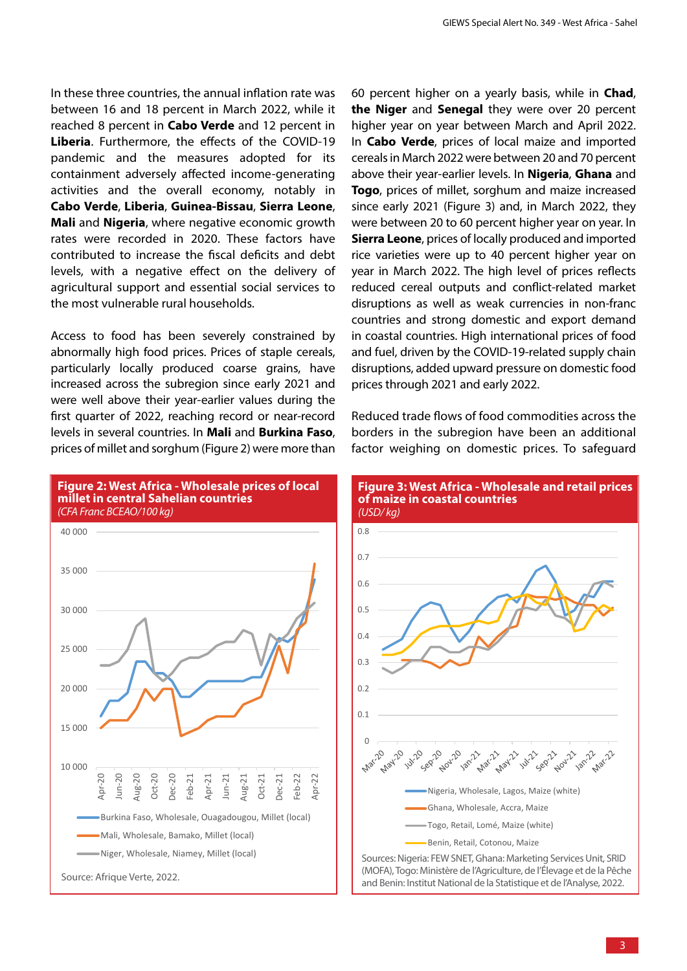In these three countries, the annual inflation rate was between 16 and 18 percent in March 2022, while it reached 8 percent in **Cabo Verde** and 12 percent in **Liberia**. Furthermore, the effects of the COVID-19 pandemic and the measures adopted for its containment adversely affected income-generating activities and the overall economy, notably in **Cabo Verde**, **Liberia**, **Guinea-Bissau**, **Sierra Leone**, **Mali** and **Nigeria**, where negative economic growth rates were recorded in 2020. These factors have contributed to increase the fiscal deficits and debt levels, with a negative effect on the delivery of agricultural support and essential social services to the most vulnerable rural households.

Access to food has been severely constrained by abnormally high food prices. Prices of staple cereals, particularly locally produced coarse grains, have increased across the subregion since early 2021 and were well above their year-earlier values during the first quarter of 2022, reaching record or near-record levels in several countries. In **Mali** and **Burkina Faso**, prices of millet and sorghum (Figure 2) were more than



60 percent higher on a yearly basis, while in **Chad**, **the Niger** and **Senegal** they were over 20 percent higher year on year between March and April 2022. In **Cabo Verde**, prices of local maize and imported cereals in March 2022 were between 20 and 70 percent above their year-earlier levels. In **Nigeria**, **Ghana** and **Togo**, prices of millet, sorghum and maize increased since early 2021 (Figure 3) and, in March 2022, they were between 20 to 60 percent higher year on year. In **Sierra Leone**, prices of locally produced and imported rice varieties were up to 40 percent higher year on year in March 2022. The high level of prices reflects reduced cereal outputs and conflict-related market disruptions as well as weak currencies in non-franc countries and strong domestic and export demand in coastal countries. High international prices of food and fuel, driven by the COVID-19-related supply chain disruptions, added upward pressure on domestic food prices through 2021 and early 2022.

Reduced trade flows of food commodities across the borders in the subregion have been an additional factor weighing on domestic prices. To safeguard

**Figure 3: West Africa - Wholesale and retail prices** 

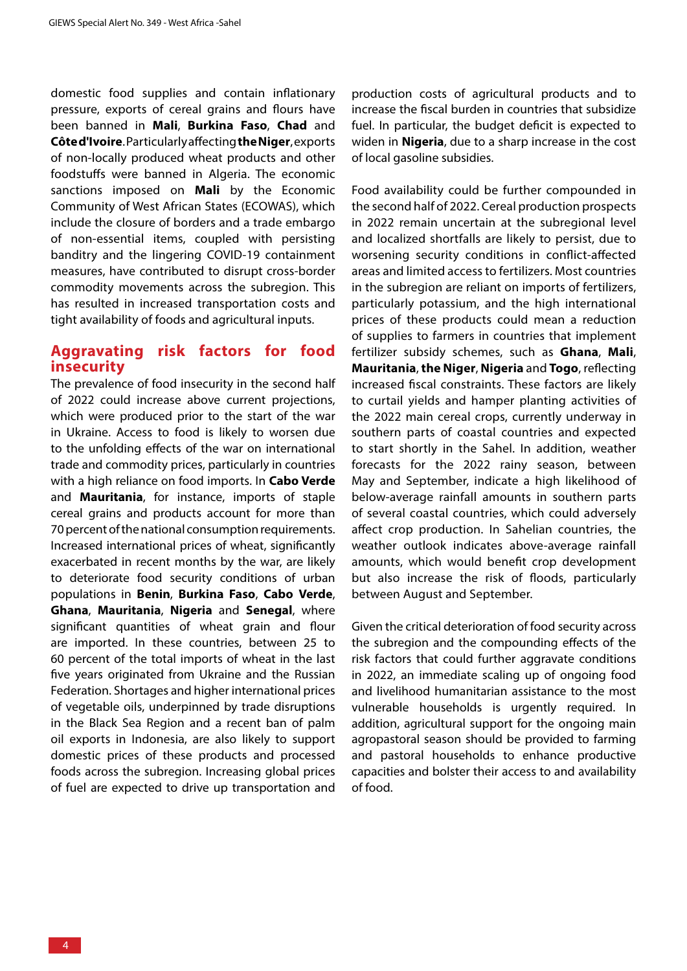domestic food supplies and contain inflationary pressure, exports of cereal grains and flours have been banned in **Mali**, **Burkina Faso**, **Chad** and **Côted'Ivoire**. Particularly affecting **the Niger**, exports of non-locally produced wheat products and other foodstuffs were banned in Algeria. The economic sanctions imposed on **Mali** by the Economic Community of West African States (ECOWAS), which include the closure of borders and a trade embargo of non-essential items, coupled with persisting banditry and the lingering COVID-19 containment measures, have contributed to disrupt cross-border commodity movements across the subregion. This has resulted in increased transportation costs and tight availability of foods and agricultural inputs.

#### **Aggravating risk factors for food insecurity**

The prevalence of food insecurity in the second half of 2022 could increase above current projections, which were produced prior to the start of the war in Ukraine. Access to food is likely to worsen due to the unfolding effects of the war on international trade and commodity prices, particularly in countries with a high reliance on food imports. In **Cabo Verde** and **Mauritania**, for instance, imports of staple cereal grains and products account for more than 70 percent of the national consumption requirements. Increased international prices of wheat, significantly exacerbated in recent months by the war, are likely to deteriorate food security conditions of urban populations in **Benin**, **Burkina Faso**, **Cabo Verde**, **Ghana**, **Mauritania**, **Nigeria** and **Senegal**, where significant quantities of wheat grain and flour are imported. In these countries, between 25 to 60 percent of the total imports of wheat in the last five years originated from Ukraine and the Russian Federation. Shortages and higher international prices of vegetable oils, underpinned by trade disruptions in the Black Sea Region and a recent ban of palm oil exports in Indonesia, are also likely to support domestic prices of these products and processed foods across the subregion. Increasing global prices of fuel are expected to drive up transportation and

production costs of agricultural products and to increase the fiscal burden in countries that subsidize fuel. In particular, the budget deficit is expected to widen in **Nigeria**, due to a sharp increase in the cost of local gasoline subsidies.

Food availability could be further compounded in the second half of 2022. Cereal production prospects in 2022 remain uncertain at the subregional level and localized shortfalls are likely to persist, due to worsening security conditions in conflict-affected areas and limited access to fertilizers. Most countries in the subregion are reliant on imports of fertilizers, particularly potassium, and the high international prices of these products could mean a reduction of supplies to farmers in countries that implement fertilizer subsidy schemes, such as **Ghana**, **Mali**, **Mauritania**, **the Niger**, **Nigeria** and **Togo**, reflecting increased fiscal constraints. These factors are likely to curtail yields and hamper planting activities of the 2022 main cereal crops, currently underway in southern parts of coastal countries and expected to start shortly in the Sahel. In addition, weather forecasts for the 2022 rainy season, between May and September, indicate a high likelihood of below-average rainfall amounts in southern parts of several coastal countries, which could adversely affect crop production. In Sahelian countries, the weather outlook indicates above-average rainfall amounts, which would benefit crop development but also increase the risk of floods, particularly between August and September.

Given the critical deterioration of food security across the subregion and the compounding effects of the risk factors that could further aggravate conditions in 2022, an immediate scaling up of ongoing food and livelihood humanitarian assistance to the most vulnerable households is urgently required. In addition, agricultural support for the ongoing main agropastoral season should be provided to farming and pastoral households to enhance productive capacities and bolster their access to and availability of food.